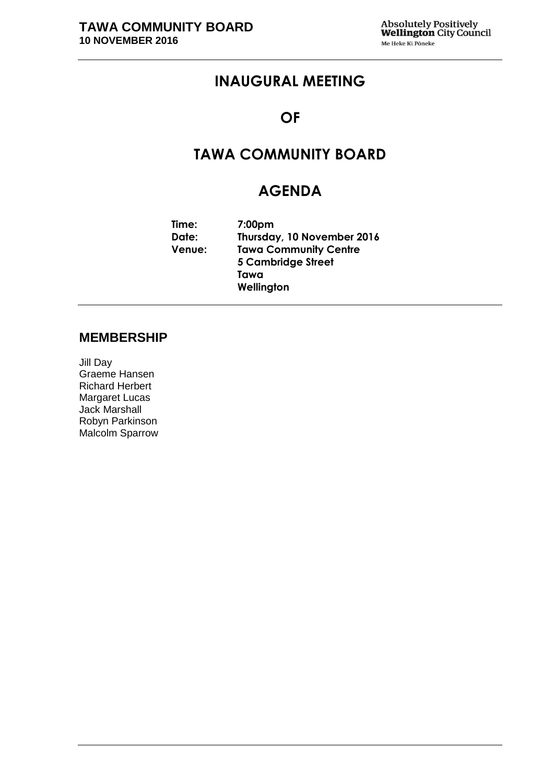## **INAUGURAL MEETING**

### **OF**

# **TAWA COMMUNITY BOARD**

## **AGENDA**

**Time: 7:00pm Date: Thursday, 10 November 2016 Venue: Tawa Community Centre 5 Cambridge Street Tawa Wellington**

### **MEMBERSHIP**

Jill Day Graeme Hansen Richard Herbert Margaret Lucas Jack Marshall Robyn Parkinson Malcolm Sparrow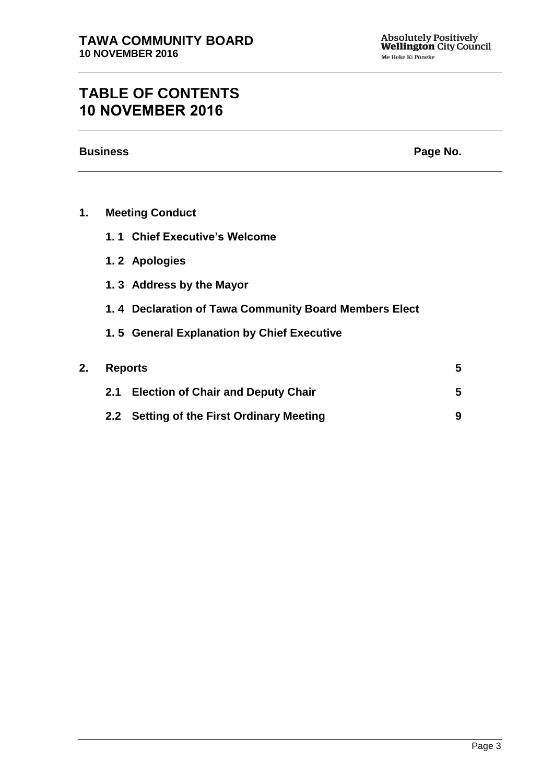# **TABLE OF CONTENTS 10 NOVEMBER 2016**

**Business Page No.**

| <b>Meeting Conduct</b><br>1. |
|------------------------------|
|------------------------------|

- **1. 1 Chief Executive's Welcome**
- **1. 2 Apologies**
- **1. 3 Address by the Mayor**
- **1. 4 Declaration of Tawa Community Board Members Elect**
- **1. 5 General Explanation by Chief Executive**

| 2. Reports |                                           |  |  |
|------------|-------------------------------------------|--|--|
|            | 2.1 Election of Chair and Deputy Chair    |  |  |
|            | 2.2 Setting of the First Ordinary Meeting |  |  |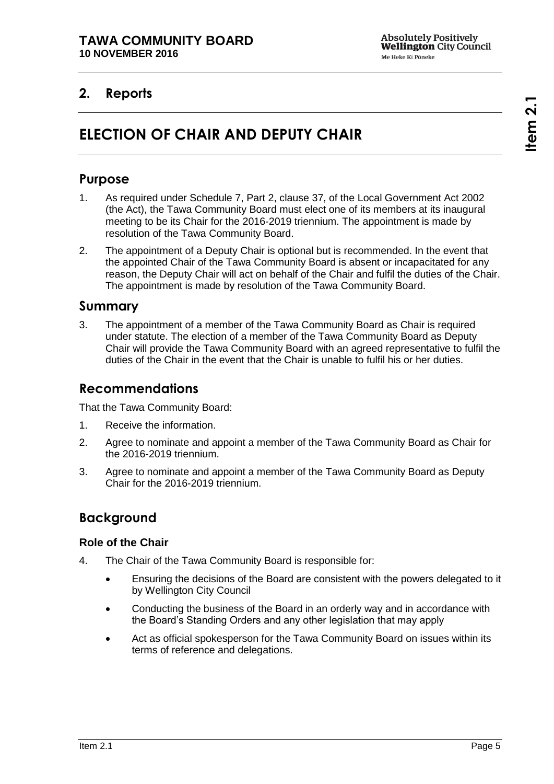## <span id="page-4-1"></span><span id="page-4-0"></span>**2. Reports**

# **ELECTION OF CHAIR AND DEPUTY CHAIR**

### **Purpose**

- 1. As required under Schedule 7, Part 2, clause 37, of the Local Government Act 2002 (the Act), the Tawa Community Board must elect one of its members at its inaugural meeting to be its Chair for the 2016-2019 triennium. The appointment is made by resolution of the Tawa Community Board.
- 2. The appointment of a Deputy Chair is optional but is recommended. In the event that the appointed Chair of the Tawa Community Board is absent or incapacitated for any reason, the Deputy Chair will act on behalf of the Chair and fulfil the duties of the Chair. The appointment is made by resolution of the Tawa Community Board.

#### **Summary**

3. The appointment of a member of the Tawa Community Board as Chair is required under statute. The election of a member of the Tawa Community Board as Deputy Chair will provide the Tawa Community Board with an agreed representative to fulfil the duties of the Chair in the event that the Chair is unable to fulfil his or her duties.

### **Recommendations**

That the Tawa Community Board:

- 1. Receive the information.
- 2. Agree to nominate and appoint a member of the Tawa Community Board as Chair for the 2016-2019 triennium.
- 3. Agree to nominate and appoint a member of the Tawa Community Board as Deputy Chair for the 2016-2019 triennium.

### **Background**

#### **Role of the Chair**

- 4. The Chair of the Tawa Community Board is responsible for:
	- Ensuring the decisions of the Board are consistent with the powers delegated to it by Wellington City Council
	- Conducting the business of the Board in an orderly way and in accordance with the Board's Standing Orders and any other legislation that may apply
	- Act as official spokesperson for the Tawa Community Board on issues within its terms of reference and delegations.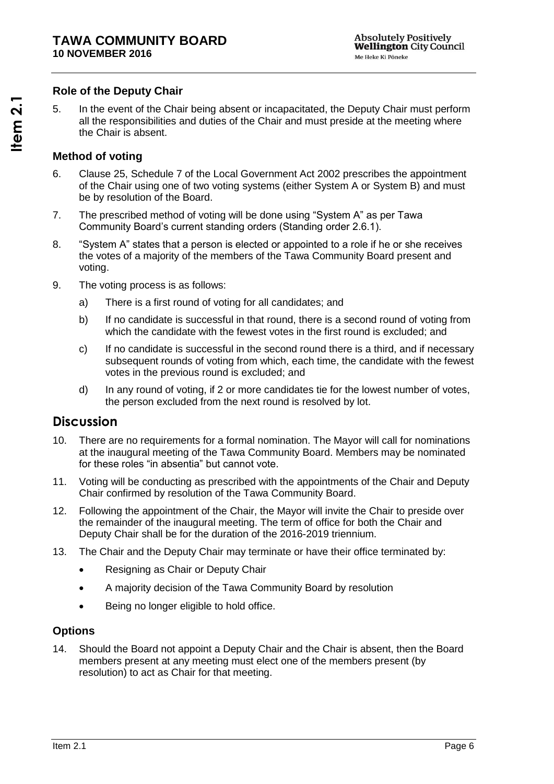#### **Role of the Deputy Chair**

5. In the event of the Chair being absent or incapacitated, the Deputy Chair must perform all the responsibilities and duties of the Chair and must preside at the meeting where the Chair is absent.

#### **Method of voting**

- 6. Clause 25, Schedule 7 of the Local Government Act 2002 prescribes the appointment of the Chair using one of two voting systems (either System A or System B) and must be by resolution of the Board.
- 7. The prescribed method of voting will be done using "System A" as per Tawa Community Board's current standing orders (Standing order 2.6.1).
- 8. "System A" states that a person is elected or appointed to a role if he or she receives the votes of a majority of the members of the Tawa Community Board present and voting.
- 9. The voting process is as follows:
	- a) There is a first round of voting for all candidates; and
	- b) If no candidate is successful in that round, there is a second round of voting from which the candidate with the fewest votes in the first round is excluded; and
	- c) If no candidate is successful in the second round there is a third, and if necessary subsequent rounds of voting from which, each time, the candidate with the fewest votes in the previous round is excluded; and
	- d) In any round of voting, if 2 or more candidates tie for the lowest number of votes, the person excluded from the next round is resolved by lot.

### **Discussion**

- 10. There are no requirements for a formal nomination. The Mayor will call for nominations at the inaugural meeting of the Tawa Community Board. Members may be nominated for these roles "in absentia" but cannot vote.
- 11. Voting will be conducting as prescribed with the appointments of the Chair and Deputy Chair confirmed by resolution of the Tawa Community Board.
- 12. Following the appointment of the Chair, the Mayor will invite the Chair to preside over the remainder of the inaugural meeting. The term of office for both the Chair and Deputy Chair shall be for the duration of the 2016-2019 triennium.
- 13. The Chair and the Deputy Chair may terminate or have their office terminated by:
	- Resigning as Chair or Deputy Chair
	- A majority decision of the Tawa Community Board by resolution
	- Being no longer eligible to hold office.

#### **Options**

14. Should the Board not appoint a Deputy Chair and the Chair is absent, then the Board members present at any meeting must elect one of the members present (by resolution) to act as Chair for that meeting.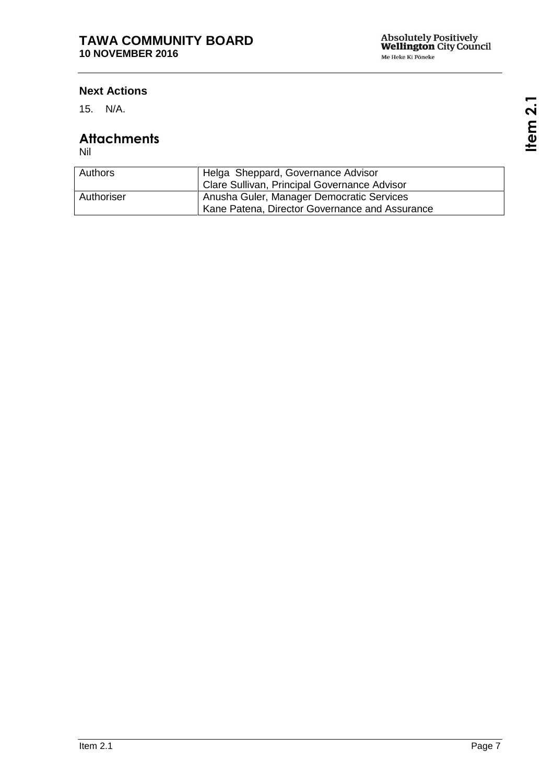#### **Next Actions**

15. N/A.

### **Attachments**

Nil

| Authors    | Helga Sheppard, Governance Advisor<br>Clare Sullivan, Principal Governance Advisor          |
|------------|---------------------------------------------------------------------------------------------|
| Authoriser | Anusha Guler, Manager Democratic Services<br>Kane Patena, Director Governance and Assurance |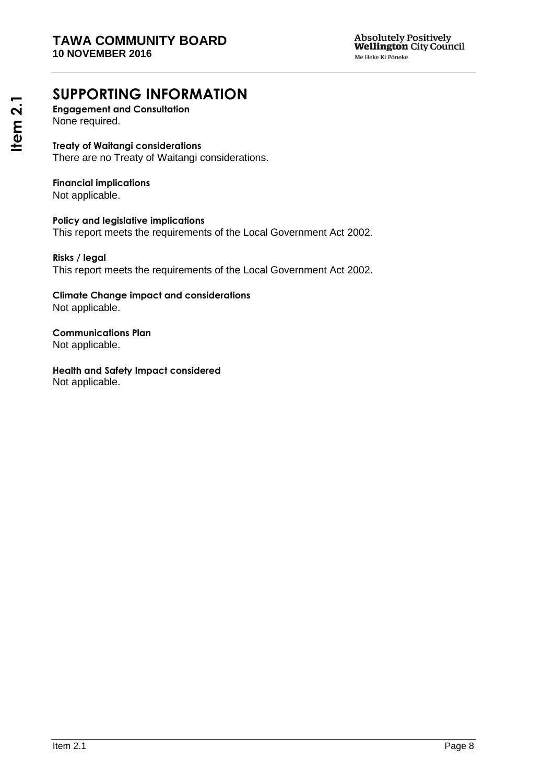# **SUPPORTING INFORMATION**

**Engagement and Consultation** None required.

**Treaty of Waitangi considerations** There are no Treaty of Waitangi considerations.

## **Financial implications**

Not applicable.

**Policy and legislative implications** This report meets the requirements of the Local Government Act 2002.

**Risks / legal**  This report meets the requirements of the Local Government Act 2002.

**Climate Change impact and considerations** Not applicable.

**Communications Plan** Not applicable.

**Health and Safety Impact considered** Not applicable.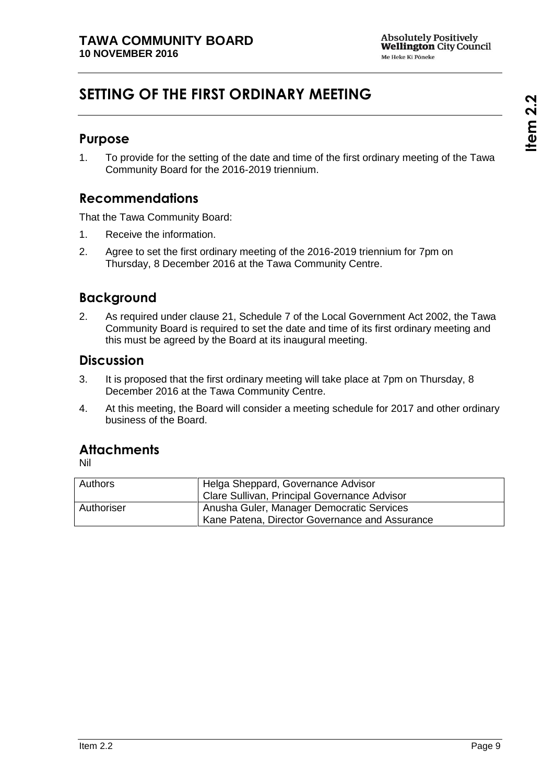# <span id="page-8-0"></span>**SETTING OF THE FIRST ORDINARY MEETING**

### **Purpose**

1. To provide for the setting of the date and time of the first ordinary meeting of the Tawa Community Board for the 2016-2019 triennium.

### **Recommendations**

That the Tawa Community Board:

- 1. Receive the information.
- 2. Agree to set the first ordinary meeting of the 2016-2019 triennium for 7pm on Thursday, 8 December 2016 at the Tawa Community Centre.

### **Background**

2. As required under clause 21, Schedule 7 of the Local Government Act 2002, the Tawa Community Board is required to set the date and time of its first ordinary meeting and this must be agreed by the Board at its inaugural meeting.

### **Discussion**

- 3. It is proposed that the first ordinary meeting will take place at 7pm on Thursday, 8 December 2016 at the Tawa Community Centre.
- 4. At this meeting, the Board will consider a meeting schedule for 2017 and other ordinary business of the Board.

### **Attachments**

Nil

| <b>Authors</b> | Helga Sheppard, Governance Advisor<br>Clare Sullivan, Principal Governance Advisor          |
|----------------|---------------------------------------------------------------------------------------------|
| Authoriser     | Anusha Guler, Manager Democratic Services<br>Kane Patena, Director Governance and Assurance |